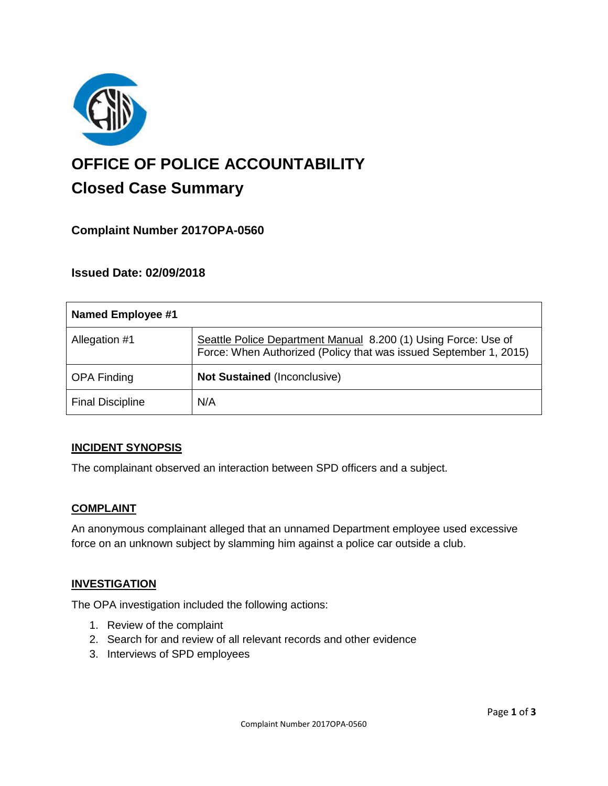

# **OFFICE OF POLICE ACCOUNTABILITY**

# **Closed Case Summary**

# **Complaint Number 2017OPA-0560**

# **Issued Date: 02/09/2018**

| Named Employee #1       |                                                                                                                                     |
|-------------------------|-------------------------------------------------------------------------------------------------------------------------------------|
| Allegation #1           | Seattle Police Department Manual 8.200 (1) Using Force: Use of<br>Force: When Authorized (Policy that was issued September 1, 2015) |
| <b>OPA Finding</b>      | <b>Not Sustained (Inconclusive)</b>                                                                                                 |
| <b>Final Discipline</b> | N/A                                                                                                                                 |

# **INCIDENT SYNOPSIS**

The complainant observed an interaction between SPD officers and a subject.

#### **COMPLAINT**

An anonymous complainant alleged that an unnamed Department employee used excessive force on an unknown subject by slamming him against a police car outside a club.

#### **INVESTIGATION**

The OPA investigation included the following actions:

- 1. Review of the complaint
- 2. Search for and review of all relevant records and other evidence
- 3. Interviews of SPD employees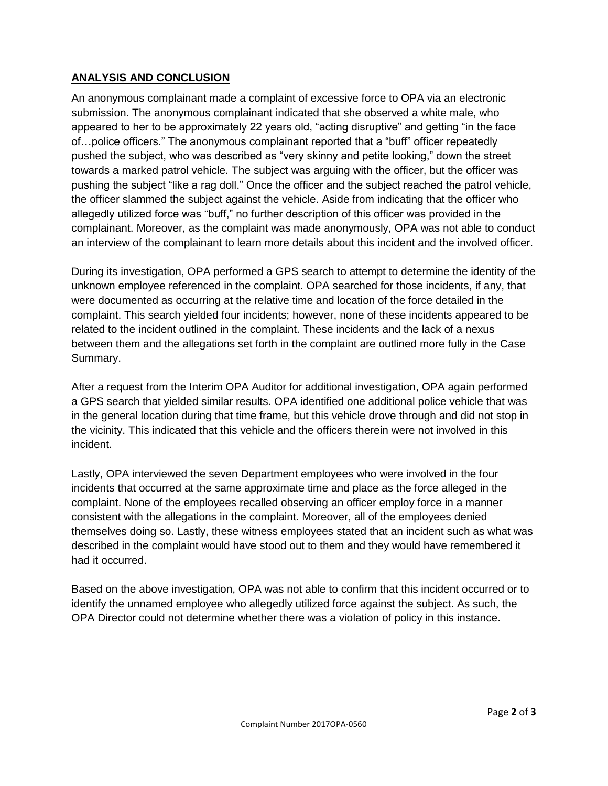## **ANALYSIS AND CONCLUSION**

An anonymous complainant made a complaint of excessive force to OPA via an electronic submission. The anonymous complainant indicated that she observed a white male, who appeared to her to be approximately 22 years old, "acting disruptive" and getting "in the face of…police officers." The anonymous complainant reported that a "buff" officer repeatedly pushed the subject, who was described as "very skinny and petite looking," down the street towards a marked patrol vehicle. The subject was arguing with the officer, but the officer was pushing the subject "like a rag doll." Once the officer and the subject reached the patrol vehicle, the officer slammed the subject against the vehicle. Aside from indicating that the officer who allegedly utilized force was "buff," no further description of this officer was provided in the complainant. Moreover, as the complaint was made anonymously, OPA was not able to conduct an interview of the complainant to learn more details about this incident and the involved officer.

During its investigation, OPA performed a GPS search to attempt to determine the identity of the unknown employee referenced in the complaint. OPA searched for those incidents, if any, that were documented as occurring at the relative time and location of the force detailed in the complaint. This search yielded four incidents; however, none of these incidents appeared to be related to the incident outlined in the complaint. These incidents and the lack of a nexus between them and the allegations set forth in the complaint are outlined more fully in the Case Summary.

After a request from the Interim OPA Auditor for additional investigation, OPA again performed a GPS search that yielded similar results. OPA identified one additional police vehicle that was in the general location during that time frame, but this vehicle drove through and did not stop in the vicinity. This indicated that this vehicle and the officers therein were not involved in this incident.

Lastly, OPA interviewed the seven Department employees who were involved in the four incidents that occurred at the same approximate time and place as the force alleged in the complaint. None of the employees recalled observing an officer employ force in a manner consistent with the allegations in the complaint. Moreover, all of the employees denied themselves doing so. Lastly, these witness employees stated that an incident such as what was described in the complaint would have stood out to them and they would have remembered it had it occurred.

Based on the above investigation, OPA was not able to confirm that this incident occurred or to identify the unnamed employee who allegedly utilized force against the subject. As such, the OPA Director could not determine whether there was a violation of policy in this instance.